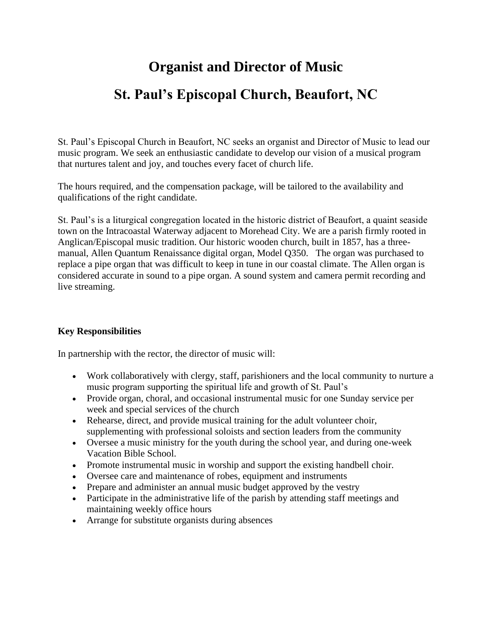# **Organist and Director of Music St. Paul's Episcopal Church, Beaufort, NC**

St. Paul's Episcopal Church in Beaufort, NC seeks an organist and Director of Music to lead our music program. We seek an enthusiastic candidate to develop our vision of a musical program that nurtures talent and joy, and touches every facet of church life.

The hours required, and the compensation package, will be tailored to the availability and qualifications of the right candidate.

St. Paul's is a liturgical congregation located in the historic district of Beaufort, a quaint seaside town on the Intracoastal Waterway adjacent to Morehead City. We are a parish firmly rooted in Anglican/Episcopal music tradition. Our historic wooden church, built in 1857, has a threemanual, Allen Quantum Renaissance digital organ, Model Q350. The organ was purchased to replace a pipe organ that was difficult to keep in tune in our coastal climate. The Allen organ is considered accurate in sound to a pipe organ. A sound system and camera permit recording and live streaming.

### **Key Responsibilities**

In partnership with the rector, the director of music will:

- Work collaboratively with clergy, staff, parishioners and the local community to nurture a music program supporting the spiritual life and growth of St. Paul's
- Provide organ, choral, and occasional instrumental music for one Sunday service per week and special services of the church
- Rehearse, direct, and provide musical training for the adult volunteer choir, supplementing with professional soloists and section leaders from the community
- Oversee a music ministry for the youth during the school year, and during one-week Vacation Bible School.
- Promote instrumental music in worship and support the existing handbell choir.
- Oversee care and maintenance of robes, equipment and instruments
- Prepare and administer an annual music budget approved by the vestry
- Participate in the administrative life of the parish by attending staff meetings and maintaining weekly office hours
- Arrange for substitute organists during absences